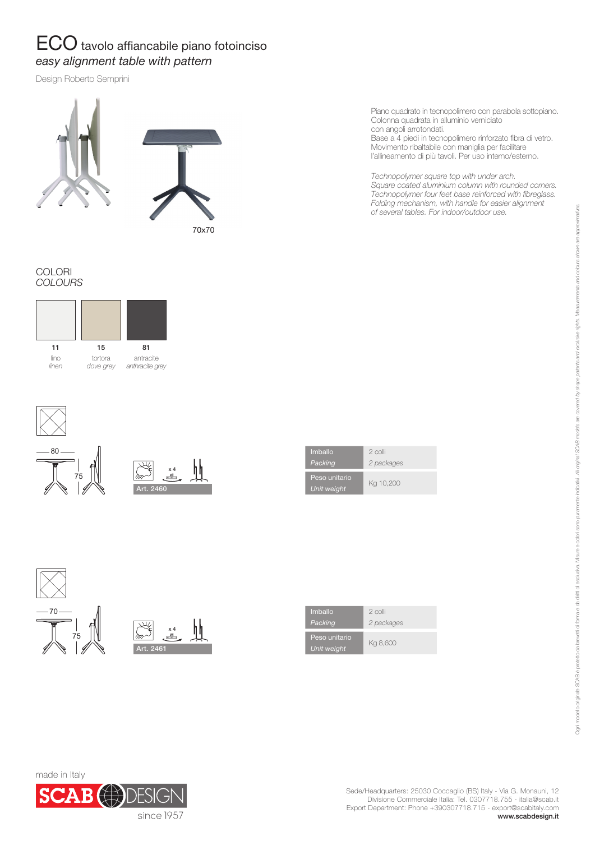## ECO tavolo affiancabile piano fotoinciso *easy alignment table with pattern*

Design Roberto Semprini



Piano quadrato in tecnopolimero con parabola sottopiano. Colonna quadrata in alluminio verniciato con angoli arrotondati.

Base a 4 piedi in tecnopolimero rinforzato fibra di vetro. Movimento ribaltabile con maniglia per facilitare l'allineamento di più tavoli. Per uso interno/esterno.

*Technopolymer square top with under arch. Square coated aluminium column with rounded corners. Technopolymer four feet base reinforced with fibreglass. Folding mechanism, with handle for easier alignment of several tables. For indoor/outdoor use.*

COLORI *COLOURS*









| Imballo                      | 2 colli    |
|------------------------------|------------|
| Packing                      | 2 packages |
| Peso unitario<br>Unit weight | Kg 10,200  |

Art. 2461 x 4 75 70

| Imballo                             | 2 colli    |
|-------------------------------------|------------|
| Packing                             | 2 packages |
| Peso unitario<br><b>Unit weight</b> | Kg 8,600   |

Ogni modelo ordeto da bevetti di forma e da dritti di escusiva. Misure e ockri sono puramente indicativa (SOAB models ae covered by stape patents and exclusive rights. Measurements and codours shown are apportmatives. Onlinnoinale SCAB è protetti dia forma e da dritti di esclusiva. Misure e obri sono puramente indicativi. All orders are sortedes are covered by shape paradents and presuments and colours shown are approvimatives.